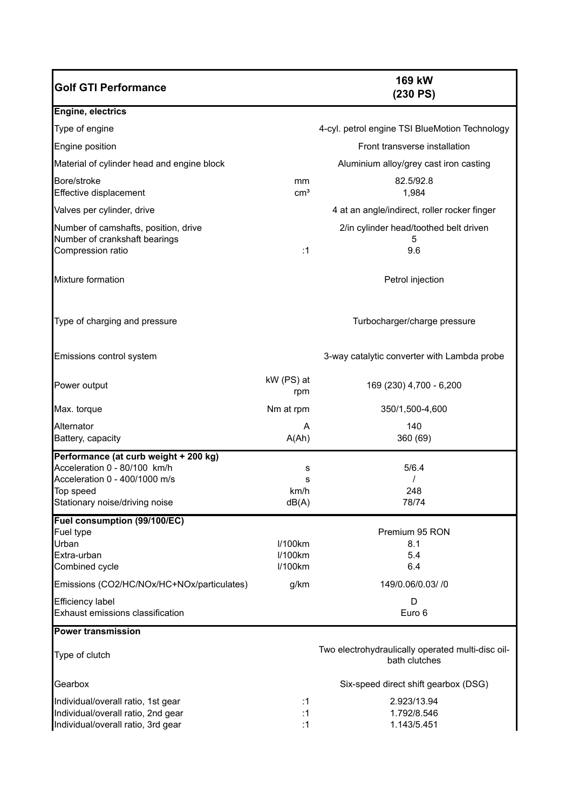| <b>Golf GTI Performance</b>                                                                                                                           |                               | 169 kW<br>(230 PS)                                                 |
|-------------------------------------------------------------------------------------------------------------------------------------------------------|-------------------------------|--------------------------------------------------------------------|
| Engine, electrics                                                                                                                                     |                               |                                                                    |
| Type of engine                                                                                                                                        |                               | 4-cyl. petrol engine TSI BlueMotion Technology                     |
| Engine position                                                                                                                                       |                               | Front transverse installation                                      |
| Material of cylinder head and engine block                                                                                                            |                               | Aluminium alloy/grey cast iron casting                             |
| Bore/stroke<br>Effective displacement                                                                                                                 | mm<br>$\text{cm}^3$           | 82.5/92.8<br>1,984                                                 |
| Valves per cylinder, drive                                                                                                                            |                               | 4 at an angle/indirect, roller rocker finger                       |
| Number of camshafts, position, drive<br>Number of crankshaft bearings<br>Compression ratio                                                            | :1                            | 2/in cylinder head/toothed belt driven<br>5<br>9.6                 |
| Mixture formation                                                                                                                                     |                               | Petrol injection                                                   |
| Type of charging and pressure                                                                                                                         |                               | Turbocharger/charge pressure                                       |
| Emissions control system                                                                                                                              |                               | 3-way catalytic converter with Lambda probe                        |
| Power output                                                                                                                                          | kW (PS) at<br>rpm             | 169 (230) 4,700 - 6,200                                            |
| Max. torque                                                                                                                                           | Nm at rpm                     | 350/1,500-4,600                                                    |
| Alternator<br>Battery, capacity                                                                                                                       | A<br>A(Ah)                    | 140<br>360 (69)                                                    |
| Performance (at curb weight + 200 kg)<br>Acceleration 0 - 80/100 km/h<br>Acceleration 0 - 400/1000 m/s<br>Top speed<br>Stationary noise/driving noise | s<br>s<br>km/h<br>dB(A)       | 5/6.4<br>248<br>78/74                                              |
| Fuel consumption (99/100/EC)<br>Fuel type<br>Urban<br>Extra-urban<br>Combined cycle                                                                   | I/100km<br>I/100km<br>I/100km | Premium 95 RON<br>8.1<br>5.4<br>6.4                                |
| Emissions (CO2/HC/NOx/HC+NOx/particulates)                                                                                                            | g/km                          | 149/0.06/0.03/ /0                                                  |
| Efficiency label<br>Exhaust emissions classification                                                                                                  |                               | D<br>Euro 6                                                        |
| <b>Power transmission</b>                                                                                                                             |                               |                                                                    |
| Type of clutch                                                                                                                                        |                               | Two electrohydraulically operated multi-disc oil-<br>bath clutches |
| Gearbox                                                                                                                                               |                               | Six-speed direct shift gearbox (DSG)                               |
| Individual/overall ratio, 1st gear<br>Individual/overall ratio, 2nd gear<br>Individual/overall ratio, 3rd gear                                        | :1<br>:1<br>:1                | 2.923/13.94<br>1.792/8.546<br>1.143/5.451                          |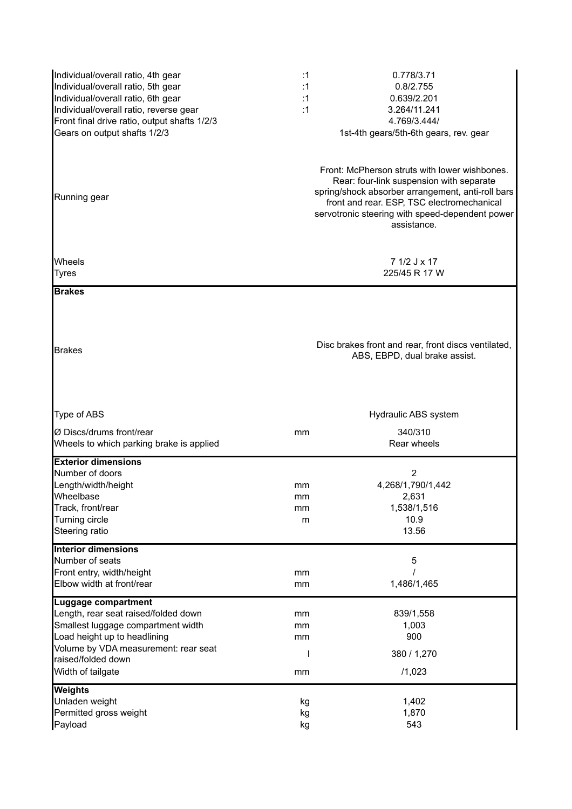| Individual/overall ratio, 4th gear<br>Individual/overall ratio, 5th gear<br>Individual/overall ratio, 6th gear<br>Individual/overall ratio, reverse gear<br>Front final drive ratio, output shafts 1/2/3<br>Gears on output shafts 1/2/3<br>Running gear | :1<br>:1<br>:1<br>:1 | 0.778/3.71<br>0.8/2.755<br>0.639/2.201<br>3.264/11.241<br>4.769/3.444/<br>1st-4th gears/5th-6th gears, rev. gear<br>Front: McPherson struts with lower wishbones.<br>Rear: four-link suspension with separate<br>spring/shock absorber arrangement, anti-roll bars<br>front and rear. ESP, TSC electromechanical<br>servotronic steering with speed-dependent power<br>assistance. |
|----------------------------------------------------------------------------------------------------------------------------------------------------------------------------------------------------------------------------------------------------------|----------------------|------------------------------------------------------------------------------------------------------------------------------------------------------------------------------------------------------------------------------------------------------------------------------------------------------------------------------------------------------------------------------------|
| Wheels<br><b>Tyres</b>                                                                                                                                                                                                                                   |                      | 7 1/2 J x 17<br>225/45 R 17 W                                                                                                                                                                                                                                                                                                                                                      |
| <b>Brakes</b><br><b>Brakes</b>                                                                                                                                                                                                                           |                      | Disc brakes front and rear, front discs ventilated,<br>ABS, EBPD, dual brake assist.                                                                                                                                                                                                                                                                                               |
| Type of ABS                                                                                                                                                                                                                                              |                      | Hydraulic ABS system                                                                                                                                                                                                                                                                                                                                                               |
| Ø Discs/drums front/rear<br>Wheels to which parking brake is applied                                                                                                                                                                                     | mm                   | 340/310<br>Rear wheels                                                                                                                                                                                                                                                                                                                                                             |
| <b>Exterior dimensions</b><br>Number of doors<br>Length/width/height<br>Wheelbase<br>Track, front/rear<br>Turning circle<br>Steering ratio                                                                                                               | mm<br>mm<br>mm<br>m  | 2<br>4,268/1,790/1,442<br>2,631<br>1,538/1,516<br>10.9<br>13.56                                                                                                                                                                                                                                                                                                                    |
| <b>Interior dimensions</b><br>Number of seats<br>Front entry, width/height<br>Elbow width at front/rear                                                                                                                                                  | mm<br>mm             | 5<br>1,486/1,465                                                                                                                                                                                                                                                                                                                                                                   |
| <b>Luggage compartment</b><br>Length, rear seat raised/folded down<br>Smallest luggage compartment width<br>Load height up to headlining<br>Volume by VDA measurement: rear seat<br>raised/folded down<br>Width of tailgate                              | mm<br>mm<br>mm<br>mm | 839/1,558<br>1,003<br>900<br>380 / 1,270<br>/1,023                                                                                                                                                                                                                                                                                                                                 |
| <b>Weights</b><br>Unladen weight<br>Permitted gross weight<br>Payload                                                                                                                                                                                    | kg<br>kg<br>kg       | 1,402<br>1,870<br>543                                                                                                                                                                                                                                                                                                                                                              |